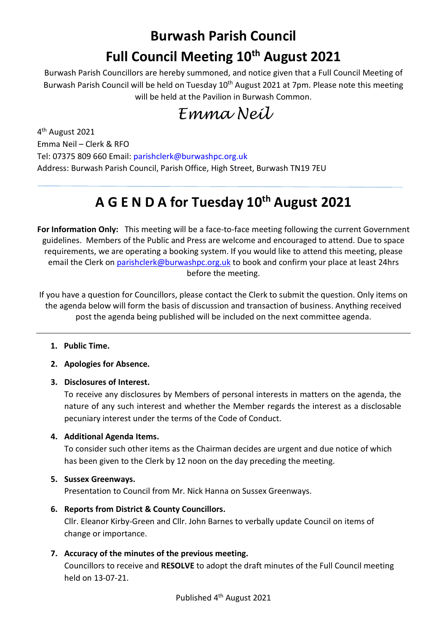# **Burwash Parish Council Full Council Meeting 10th August 2021**

Burwash Parish Councillors are hereby summoned, and notice given that a Full Council Meeting of Burwash Parish Council will be held on Tuesday 10<sup>th</sup> August 2021 at 7pm. Please note this meeting will be held at the Pavilion in Burwash Common.

## *Emma Neil*

4th August 2021 Emma Neil – Clerk & RFO Tel: 07375 809 660 Email: parishclerk@burwashpc.org.uk Address: Burwash Parish Council, Parish Office, High Street, Burwash TN19 7EU

### **A G E N D A for Tuesday 10th August 2021**

**For Information Only:** This meeting will be a face-to-face meeting following the current Government guidelines. Members of the Public and Press are welcome and encouraged to attend. Due to space requirements, we are operating a booking system. If you would like to attend this meeting, please email the Clerk on [parishclerk@burwashpc.org.uk](mailto:parishclerk@burwashpc.org.uk) to book and confirm your place at least 24hrs before the meeting.

If you have a question for Councillors, please contact the Clerk to submit the question. Only items on the agenda below will form the basis of discussion and transaction of business. Anything received post the agenda being published will be included on the next committee agenda.

- **1. Public Time.**
- **2. Apologies for Absence.**
- **3. Disclosures of Interest.**

To receive any disclosures by Members of personal interests in matters on the agenda, the nature of any such interest and whether the Member regards the interest as a disclosable pecuniary interest under the terms of the Code of Conduct.

### **4. Additional Agenda Items.**

To consider such other items as the Chairman decides are urgent and due notice of which has been given to the Clerk by 12 noon on the day preceding the meeting.

### **5. Sussex Greenways.**

Presentation to Council from Mr. Nick Hanna on Sussex Greenways.

- **6. Reports from District & County Councillors.** Cllr. Eleanor Kirby-Green and Cllr. John Barnes to verbally update Council on items of change or importance.
- **7. Accuracy of the minutes of the previous meeting.**

Councillors to receive and **RESOLVE** to adopt the draft minutes of the Full Council meeting held on 13-07-21.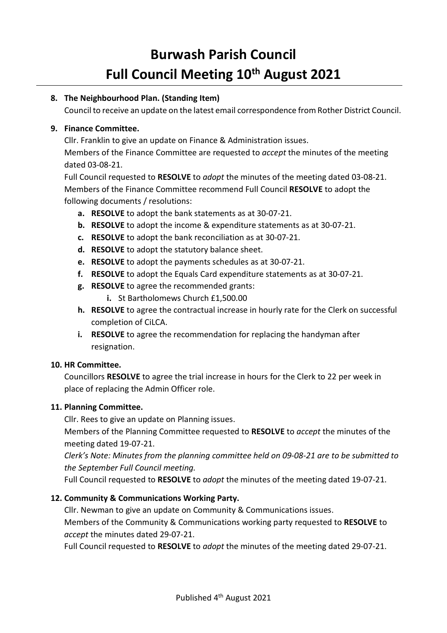## **Burwash Parish Council Full Council Meeting 10th August 2021**

### **8. The Neighbourhood Plan. (Standing Item)**

Council to receive an update on the latest email correspondence from Rother District Council.

#### **9. Finance Committee.**

Cllr. Franklin to give an update on Finance & Administration issues. Members of the Finance Committee are requested to *accept* the minutes of the meeting dated 03-08-21.

Full Council requested to **RESOLVE** to *adopt* the minutes of the meeting dated 03-08-21. Members of the Finance Committee recommend Full Council **RESOLVE** to adopt the following documents / resolutions:

- **a. RESOLVE** to adopt the bank statements as at 30-07-21.
- **b. RESOLVE** to adopt the income & expenditure statements as at 30-07-21.
- **c. RESOLVE** to adopt the bank reconciliation as at 30-07-21.
- **d. RESOLVE** to adopt the statutory balance sheet.
- **e. RESOLVE** to adopt the payments schedules as at 30-07-21.
- **f. RESOLVE** to adopt the Equals Card expenditure statements as at 30-07-21.
- **g. RESOLVE** to agree the recommended grants:
	- **i.** St Bartholomews Church £1,500.00
- **h. RESOLVE** to agree the contractual increase in hourly rate for the Clerk on successful completion of CiLCA.
- **i. RESOLVE** to agree the recommendation for replacing the handyman after resignation.

#### **10. HR Committee.**

Councillors **RESOLVE** to agree the trial increase in hours for the Clerk to 22 per week in place of replacing the Admin Officer role.

#### **11. Planning Committee.**

Cllr. Rees to give an update on Planning issues.

Members of the Planning Committee requested to **RESOLVE** to *accept* the minutes of the meeting dated 19-07-21.

*Clerk's Note: Minutes from the planning committee held on 09-08-21 are to be submitted to the September Full Council meeting.*

Full Council requested to **RESOLVE** to *adopt* the minutes of the meeting dated 19-07-21.

#### **12. Community & Communications Working Party.**

Cllr. Newman to give an update on Community & Communications issues. Members of the Community & Communications working party requested to **RESOLVE** to *accept* the minutes dated 29-07-21.

Full Council requested to **RESOLVE** to *adopt* the minutes of the meeting dated 29-07-21.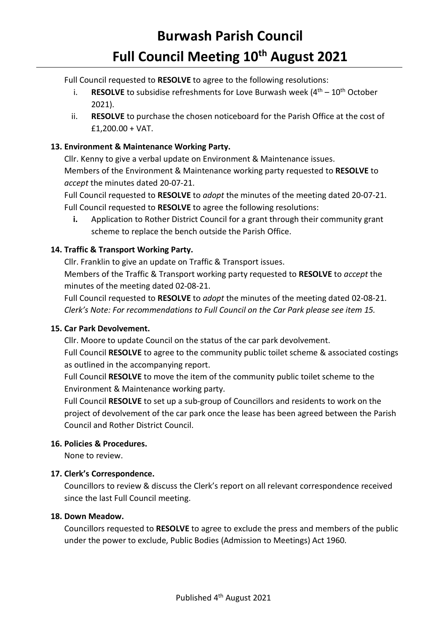## **Burwash Parish Council Full Council Meeting 10th August 2021**

Full Council requested to **RESOLVE** to agree to the following resolutions:

- i. **RESOLVE** to subsidise refreshments for Love Burwash week  $(4<sup>th</sup> 10<sup>th</sup> October$ 2021).
- ii. **RESOLVE** to purchase the chosen noticeboard for the Parish Office at the cost of £1,200.00 + VAT.

### **13. Environment & Maintenance Working Party.**

Cllr. Kenny to give a verbal update on Environment & Maintenance issues. Members of the Environment & Maintenance working party requested to **RESOLVE** to *accept* the minutes dated 20-07-21.

Full Council requested to **RESOLVE** to *adopt* the minutes of the meeting dated 20-07-21. Full Council requested to **RESOLVE** to agree the following resolutions:

**i.** Application to Rother District Council for a grant through their community grant scheme to replace the bench outside the Parish Office.

### **14. Traffic & Transport Working Party.**

Cllr. Franklin to give an update on Traffic & Transport issues. Members of the Traffic & Transport working party requested to **RESOLVE** to *accept* the minutes of the meeting dated 02-08-21.

Full Council requested to **RESOLVE** to *adopt* the minutes of the meeting dated 02-08-21. *Clerk's Note: For recommendations to Full Council on the Car Park please see item 15.*

### **15. Car Park Devolvement.**

Cllr. Moore to update Council on the status of the car park devolvement.

Full Council **RESOLVE** to agree to the community public toilet scheme & associated costings as outlined in the accompanying report.

Full Council **RESOLVE** to move the item of the community public toilet scheme to the Environment & Maintenance working party.

Full Council **RESOLVE** to set up a sub-group of Councillors and residents to work on the project of devolvement of the car park once the lease has been agreed between the Parish Council and Rother District Council.

### **16. Policies & Procedures.**

None to review.

### **17. Clerk's Correspondence.**

Councillors to review & discuss the Clerk's report on all relevant correspondence received since the last Full Council meeting.

### **18. Down Meadow.**

Councillors requested to **RESOLVE** to agree to exclude the press and members of the public under the power to exclude, Public Bodies (Admission to Meetings) Act 1960.